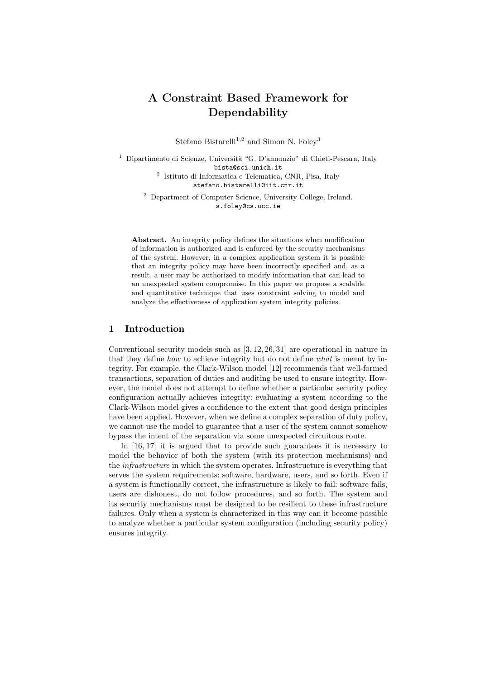# A Constraint Based Framework for Dependability

Stefano Bistarelli<sup>1,2</sup> and Simon N. Folev<sup>3</sup>

<sup>1</sup> Dipartimento di Scienze, Università "G. D'annunzio" di Chieti-Pescara, Italy bista@sci.unich.it 2 Istituto di Informatica e Telematica, CNR, Pisa, Italy stefano.bistarelli@iit.cnr.it

<sup>3</sup> Department of Computer Science, University College, Ireland. s.foley@cs.ucc.ie

Abstract. An integrity policy defines the situations when modification of information is authorized and is enforced by the security mechanisms of the system. However, in a complex application system it is possible that an integrity policy may have been incorrectly specified and, as a result, a user may be authorized to modify information that can lead to an unexpected system compromise. In this paper we propose a scalable and quantitative technique that uses constraint solving to model and analyze the effectiveness of application system integrity policies.

### 1 Introduction

Conventional security models such as [3, 12, 26, 31] are operational in nature in that they define how to achieve integrity but do not define what is meant by integrity. For example, the Clark-Wilson model [12] recommends that well-formed transactions, separation of duties and auditing be used to ensure integrity. However, the model does not attempt to define whether a particular security policy configuration actually achieves integrity: evaluating a system according to the Clark-Wilson model gives a confidence to the extent that good design principles have been applied. However, when we define a complex separation of duty policy, we cannot use the model to guarantee that a user of the system cannot somehow bypass the intent of the separation via some unexpected circuitous route.

In [16, 17] it is argued that to provide such guarantees it is necessary to model the behavior of both the system (with its protection mechanisms) and the infrastructure in which the system operates. Infrastructure is everything that serves the system requirements: software, hardware, users, and so forth. Even if a system is functionally correct, the infrastructure is likely to fail: software fails, users are dishonest, do not follow procedures, and so forth. The system and its security mechanisms must be designed to be resilient to these infrastructure failures. Only when a system is characterized in this way can it become possible to analyze whether a particular system configuration (including security policy) ensures integrity.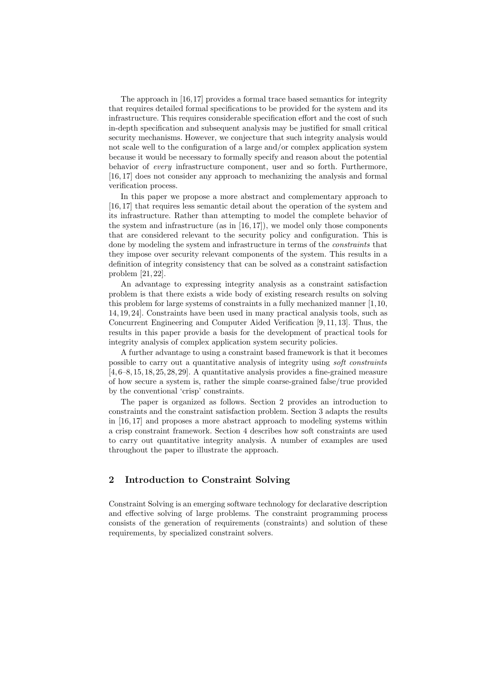The approach in [16,17] provides a formal trace based semantics for integrity that requires detailed formal specifications to be provided for the system and its infrastructure. This requires considerable specification effort and the cost of such in-depth specification and subsequent analysis may be justified for small critical security mechanisms. However, we conjecture that such integrity analysis would not scale well to the configuration of a large and/or complex application system because it would be necessary to formally specify and reason about the potential behavior of every infrastructure component, user and so forth. Furthermore, [16, 17] does not consider any approach to mechanizing the analysis and formal verification process.

In this paper we propose a more abstract and complementary approach to [16,17] that requires less semantic detail about the operation of the system and its infrastructure. Rather than attempting to model the complete behavior of the system and infrastructure (as in  $[16, 17]$ ), we model only those components that are considered relevant to the security policy and configuration. This is done by modeling the system and infrastructure in terms of the constraints that they impose over security relevant components of the system. This results in a definition of integrity consistency that can be solved as a constraint satisfaction problem [21, 22].

An advantage to expressing integrity analysis as a constraint satisfaction problem is that there exists a wide body of existing research results on solving this problem for large systems of constraints in a fully mechanized manner [1,10, 14, 19, 24]. Constraints have been used in many practical analysis tools, such as Concurrent Engineering and Computer Aided Verification [9, 11, 13]. Thus, the results in this paper provide a basis for the development of practical tools for integrity analysis of complex application system security policies.

A further advantage to using a constraint based framework is that it becomes possible to carry out a quantitative analysis of integrity using soft constraints [4,6–8,15,18,25,28,29]. A quantitative analysis provides a fine-grained measure of how secure a system is, rather the simple coarse-grained false/true provided by the conventional 'crisp' constraints.

The paper is organized as follows. Section 2 provides an introduction to constraints and the constraint satisfaction problem. Section 3 adapts the results in [16, 17] and proposes a more abstract approach to modeling systems within a crisp constraint framework. Section 4 describes how soft constraints are used to carry out quantitative integrity analysis. A number of examples are used throughout the paper to illustrate the approach.

### 2 Introduction to Constraint Solving

Constraint Solving is an emerging software technology for declarative description and effective solving of large problems. The constraint programming process consists of the generation of requirements (constraints) and solution of these requirements, by specialized constraint solvers.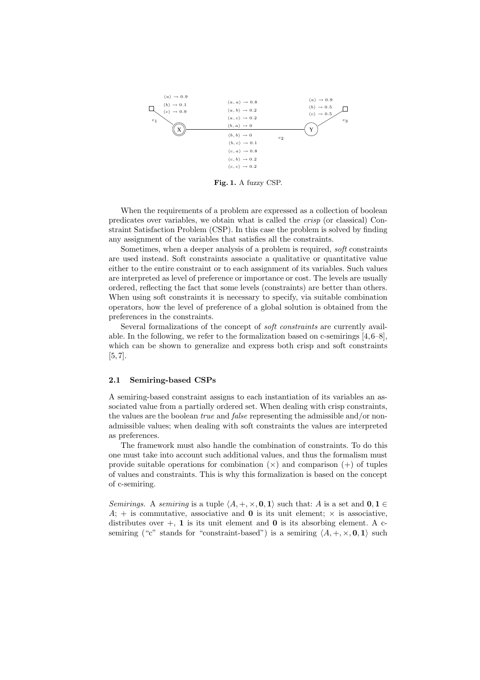

Fig. 1. A fuzzy CSP.

When the requirements of a problem are expressed as a collection of boolean predicates over variables, we obtain what is called the crisp (or classical) Constraint Satisfaction Problem (CSP). In this case the problem is solved by finding any assignment of the variables that satisfies all the constraints.

Sometimes, when a deeper analysis of a problem is required, *soft* constraints are used instead. Soft constraints associate a qualitative or quantitative value either to the entire constraint or to each assignment of its variables. Such values are interpreted as level of preference or importance or cost. The levels are usually ordered, reflecting the fact that some levels (constraints) are better than others. When using soft constraints it is necessary to specify, via suitable combination operators, how the level of preference of a global solution is obtained from the preferences in the constraints.

Several formalizations of the concept of soft constraints are currently available. In the following, we refer to the formalization based on c-semirings  $[4,6-8]$ , which can be shown to generalize and express both crisp and soft constraints  $[5, 7]$ .

#### 2.1 Semiring-based CSPs

A semiring-based constraint assigns to each instantiation of its variables an associated value from a partially ordered set. When dealing with crisp constraints, the values are the boolean *true* and *false* representing the admissible and/or nonadmissible values; when dealing with soft constraints the values are interpreted as preferences.

The framework must also handle the combination of constraints. To do this one must take into account such additional values, and thus the formalism must provide suitable operations for combination  $(x)$  and comparison  $(+)$  of tuples of values and constraints. This is why this formalization is based on the concept of c-semiring.

Semirings. A semiring is a tuple  $\langle A, +, \times, \mathbf{0}, \mathbf{1} \rangle$  such that: A is a set and  $\mathbf{0}, \mathbf{1} \in$  $A; +$  is commutative, associative and **0** is its unit element;  $\times$  is associative, distributes over  $+$ , 1 is its unit element and 0 is its absorbing element. A csemiring ("c" stands for "constraint-based") is a semiring  $\langle A, +, \times, \mathbf{0}, \mathbf{1} \rangle$  such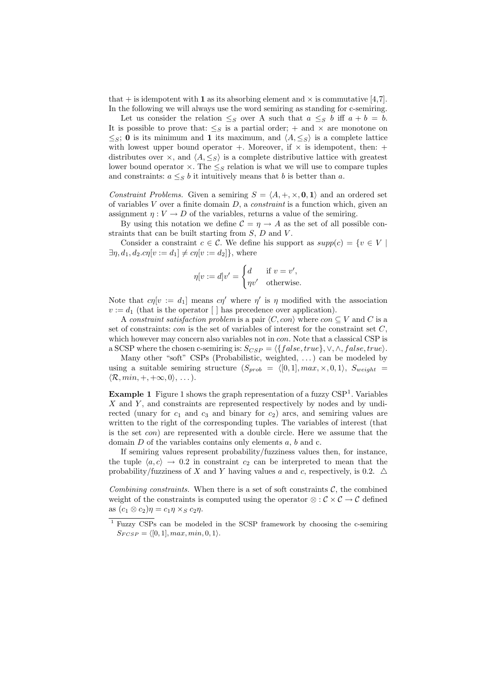that  $+$  is idempotent with 1 as its absorbing element and  $\times$  is commutative [4,7]. In the following we will always use the word semiring as standing for c-semiring.

Let us consider the relation  $\leq_S$  over A such that  $a \leq_S b$  iff  $a + b = b$ . It is possible to prove that:  $\leq_S$  is a partial order; + and  $\times$  are monotone on  $\leq_S$ ; 0 is its minimum and 1 its maximum, and  $\langle A, \leq_S \rangle$  is a complete lattice with lowest upper bound operator +. Moreover, if  $\times$  is idempotent, then: + distributes over  $\times$ , and  $\langle A, \leq_S \rangle$  is a complete distributive lattice with greatest lower bound operator  $\times$ . The  $\leq_S$  relation is what we will use to compare tuples and constraints:  $a \leq_S b$  it intuitively means that b is better than a.

Constraint Problems. Given a semiring  $S = \langle A, +, \times, \mathbf{0}, \mathbf{1} \rangle$  and an ordered set of variables  $V$  over a finite domain  $D$ , a *constraint* is a function which, given an assignment  $\eta: V \to D$  of the variables, returns a value of the semiring.

By using this notation we define  $C = \eta \rightarrow A$  as the set of all possible constraints that can be built starting from  $S$ ,  $D$  and  $V$ .

Consider a constraint  $c \in \mathcal{C}$ . We define his support as  $supp(c) = \{v \in V \mid$  $\exists \eta, d_1, d_2.c\eta [v := d_1] \neq c\eta [v := d_2]$ , where

$$
\eta[v := d]v' = \begin{cases} d & \text{if } v = v', \\ \eta v' & \text{otherwise.} \end{cases}
$$

Note that  $c\eta[v := d_1]$  means  $c\eta'$  where  $\eta'$  is  $\eta$  modified with the association  $v := d_1$  (that is the operator  $\lceil \cdot \rceil$  has precedence over application).

A constraint satisfaction problem is a pair  $\langle C, con \rangle$  where con  $\subseteq V$  and C is a set of constraints:  $con$  is the set of variables of interest for the constraint set  $C$ , which however may concern also variables not in *con*. Note that a classical CSP is a SCSP where the chosen c-semiring is:  $S_{CSP} = \langle \{false, true\}, \vee, \wedge, false, true \rangle$ .

Many other "soft" CSPs (Probabilistic, weighted, ...) can be modeled by using a suitable semiring structure  $(S_{prob} = \langle [0, 1], max, \times, 0, 1 \rangle, S_{weight} =$  $\langle \mathcal{R}, min, +, +\infty, 0 \rangle, \ldots$ ).

**Example 1** Figure 1 shows the graph representation of a fuzzy  $CSP<sup>1</sup>$ . Variables  $X$  and  $Y$ , and constraints are represented respectively by nodes and by undirected (unary for  $c_1$  and  $c_3$  and binary for  $c_2$ ) arcs, and semiring values are written to the right of the corresponding tuples. The variables of interest (that is the set  $con$  are represented with a double circle. Here we assume that the domain  $D$  of the variables contains only elements  $a, b$  and  $c$ .

If semiring values represent probability/fuzziness values then, for instance, the tuple  $\langle a, c \rangle \rightarrow 0.2$  in constraint  $c_2$  can be interpreted to mean that the probability/fuzziness of X and Y having values a and c, respectively, is 0.2.  $\triangle$ 

Combining constraints. When there is a set of soft constraints  $\mathcal{C}$ , the combined weight of the constraints is computed using the operator  $\otimes : \mathcal{C} \times \mathcal{C} \to \mathcal{C}$  defined as  $(c_1 \otimes c_2)\eta = c_1\eta \times_S c_2\eta$ .

<sup>1</sup> Fuzzy CSPs can be modeled in the SCSP framework by choosing the c-semiring  $S_{FCSP} = \langle [0, 1], max, min, 0, 1 \rangle.$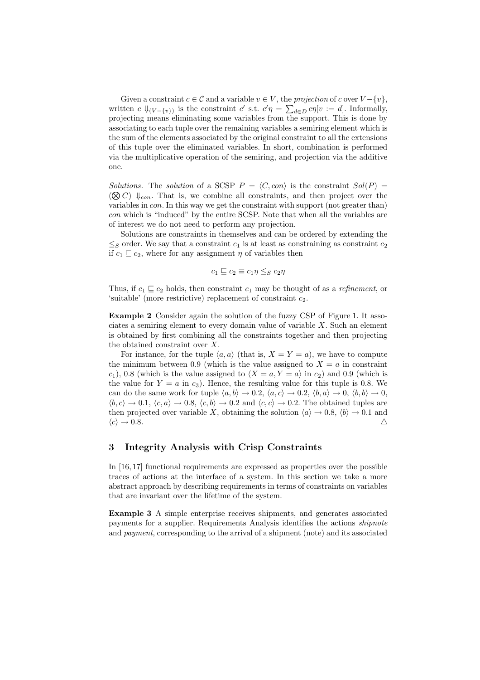Given a constraint  $c \in \mathcal{C}$  and a variable  $v \in V$ , the projection of c over  $V - \{v\}$ , written  $c \Downarrow_{(V-\{v\})}$  is the constraint  $c'$  s.t.  $c'\eta = \sum_{d \in D} c\eta[v := d]$ . Informally, projecting means eliminating some variables from the support. This is done by associating to each tuple over the remaining variables a semiring element which is the sum of the elements associated by the original constraint to all the extensions of this tuple over the eliminated variables. In short, combination is performed via the multiplicative operation of the semiring, and projection via the additive one.

Solutions. The solution of a SCSP  $P = \langle C, con \rangle$  is the constraint  $Sol(P) =$  $(Q \otimes C)$   $\downarrow_{con}$ . That is, we combine all constraints, and then project over the variables in con. In this way we get the constraint with support (not greater than) con which is "induced" by the entire SCSP. Note that when all the variables are of interest we do not need to perform any projection.

Solutions are constraints in themselves and can be ordered by extending the  $\leq_S$  order. We say that a constraint  $c_1$  is at least as constraining as constraint  $c_2$ if  $c_1 \nightharpoonup c_2$ , where for any assignment  $\eta$  of variables then

$$
c_1 \sqsubseteq c_2 \equiv c_1 \eta \leq_S c_2 \eta
$$

Thus, if  $c_1 \sqsubseteq c_2$  holds, then constraint  $c_1$  may be thought of as a refinement, or 'suitable' (more restrictive) replacement of constraint  $c_2$ .

Example 2 Consider again the solution of the fuzzy CSP of Figure 1. It associates a semiring element to every domain value of variable X. Such an element is obtained by first combining all the constraints together and then projecting the obtained constraint over X.

For instance, for the tuple  $\langle a, a \rangle$  (that is,  $X = Y = a$ ), we have to compute the minimum between 0.9 (which is the value assigned to  $X = a$  in constraint c<sub>1</sub>), 0.8 (which is the value assigned to  $\langle X = a, Y = a \rangle$  in c<sub>2</sub>) and 0.9 (which is the value for  $Y = a$  in  $c_3$ ). Hence, the resulting value for this tuple is 0.8. We can do the same work for tuple  $\langle a, b \rangle \to 0.2, \langle a, c \rangle \to 0.2, \langle b, a \rangle \to 0, \langle b, b \rangle \to 0$ ,  $\langle b, c \rangle \rightarrow 0.1, \langle c, a \rangle \rightarrow 0.8, \langle c, b \rangle \rightarrow 0.2$  and  $\langle c, c \rangle \rightarrow 0.2$ . The obtained tuples are then projected over variable X, obtaining the solution  $\langle a \rangle \rightarrow 0.8$ ,  $\langle b \rangle \rightarrow 0.1$  and  $\langle c \rangle \rightarrow 0.8.$ 

### 3 Integrity Analysis with Crisp Constraints

In [16, 17] functional requirements are expressed as properties over the possible traces of actions at the interface of a system. In this section we take a more abstract approach by describing requirements in terms of constraints on variables that are invariant over the lifetime of the system.

Example 3 A simple enterprise receives shipments, and generates associated payments for a supplier. Requirements Analysis identifies the actions shipnote and payment, corresponding to the arrival of a shipment (note) and its associated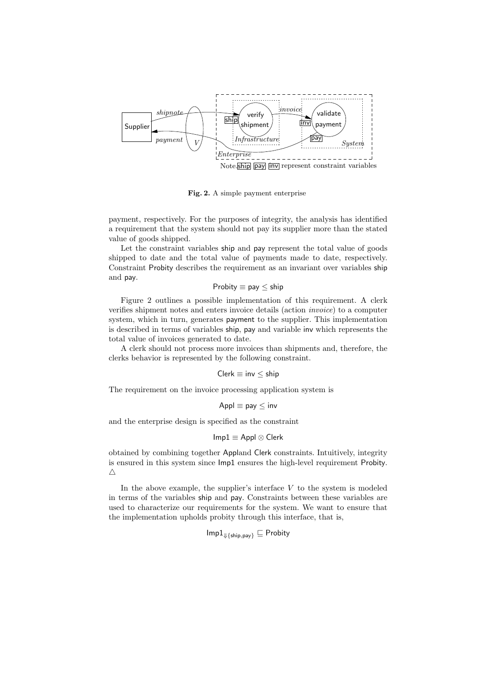

Fig. 2. A simple payment enterprise

payment, respectively. For the purposes of integrity, the analysis has identified a requirement that the system should not pay its supplier more than the stated value of goods shipped.

Let the constraint variables ship and pay represent the total value of goods shipped to date and the total value of payments made to date, respectively. Constraint Probity describes the requirement as an invariant over variables ship and pay.

### Probity ≡ pay ≤ ship

Figure 2 outlines a possible implementation of this requirement. A clerk verifies shipment notes and enters invoice details (action invoice) to a computer system, which in turn, generates payment to the supplier. This implementation is described in terms of variables ship, pay and variable inv which represents the total value of invoices generated to date.

A clerk should not process more invoices than shipments and, therefore, the clerks behavior is represented by the following constraint.

$$
\mathsf{Clerk} \equiv \mathsf{inv} \leq \mathsf{ship}
$$

The requirement on the invoice processing application system is

$$
Appl \equiv pay \le inv
$$

and the enterprise design is specified as the constraint

$$
\mathsf{Impl} \equiv \mathsf{Appl} \otimes \mathsf{Clerk}
$$

obtained by combining together Appland Clerk constraints. Intuitively, integrity is ensured in this system since Imp1 ensures the high-level requirement Probity.  $\triangle$ 

In the above example, the supplier's interface  $V$  to the system is modeled in terms of the variables ship and pay. Constraints between these variables are used to characterize our requirements for the system. We want to ensure that the implementation upholds probity through this interface, that is,

$$
\mathsf{Impl}_{\Downarrow{\{\mathsf{ship},\mathsf{pay}\}}} \sqsubseteq \mathsf{Probability}
$$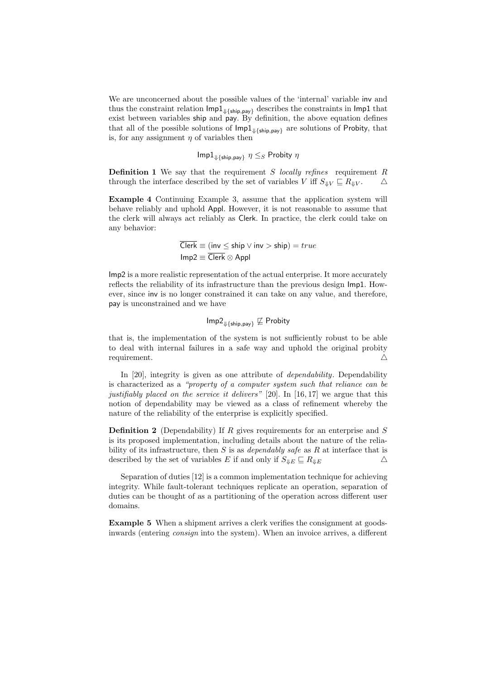We are unconcerned about the possible values of the 'internal' variable inv and thus the constraint relation  $\text{Imp1}_{\Downarrow \{\text{ship}, \text{pay}\}}$  describes the constraints in  $\text{Imp1}$  that exist between variables ship and pay. By definition, the above equation defines that all of the possible solutions of  $\text{Impl}_{\downarrow\downarrow\text{ship,pay}}$  are solutions of Probity, that is, for any assignment  $\eta$  of variables then

## Imp1 $_{\text{II}_{\text{5}\text{hip},\text{pay}}}$   $\eta \leq_S$  Probity  $\eta$

**Definition 1** We say that the requirement S locally refines requirement R through the interface described by the set of variables V iff  $S_{\Downarrow V} \sqsubseteq R_{\Downarrow V}$ .  $\triangle$ 

Example 4 Continuing Example 3, assume that the application system will behave reliably and uphold Appl. However, it is not reasonable to assume that the clerk will always act reliably as Clerk. In practice, the clerk could take on any behavior:

$$
\overline{\text{Clerk}} \equiv (\text{inv} \le \text{ship} \lor \text{inv} > \text{ship}) = true
$$
  

$$
\text{Imp2} \equiv \overline{\text{Clerk}} \otimes \text{Appl}
$$

Imp2 is a more realistic representation of the actual enterprise. It more accurately reflects the reliability of its infrastructure than the previous design Imp1. However, since inv is no longer constrained it can take on any value, and therefore, pay is unconstrained and we have

$$
\mathsf{Imp2}_{\Downarrow \{\textsf{ship}, \textsf{pay}\}} \not\sqsubseteq \mathsf{Probability}
$$

that is, the implementation of the system is not sufficiently robust to be able to deal with internal failures in a safe way and uphold the original probity requirement.  $\triangle$ 

In [20], integrity is given as one attribute of *dependability*. Dependability is characterized as a "property of a computer system such that reliance can be justifiably placed on the service it delivers" [20]. In [16,17] we argue that this notion of dependability may be viewed as a class of refinement whereby the nature of the reliability of the enterprise is explicitly specified.

**Definition 2** (Dependability) If R gives requirements for an enterprise and  $S$ is its proposed implementation, including details about the nature of the reliability of its infrastructure, then  $S$  is as *dependably safe* as  $R$  at interface that is described by the set of variables E if and only if  $S_{\Downarrow E} \subseteq R_{\Downarrow E}$   $\triangle$ 

Separation of duties [12] is a common implementation technique for achieving integrity. While fault-tolerant techniques replicate an operation, separation of duties can be thought of as a partitioning of the operation across different user domains.

Example 5 When a shipment arrives a clerk verifies the consignment at goodsinwards (entering consign into the system). When an invoice arrives, a different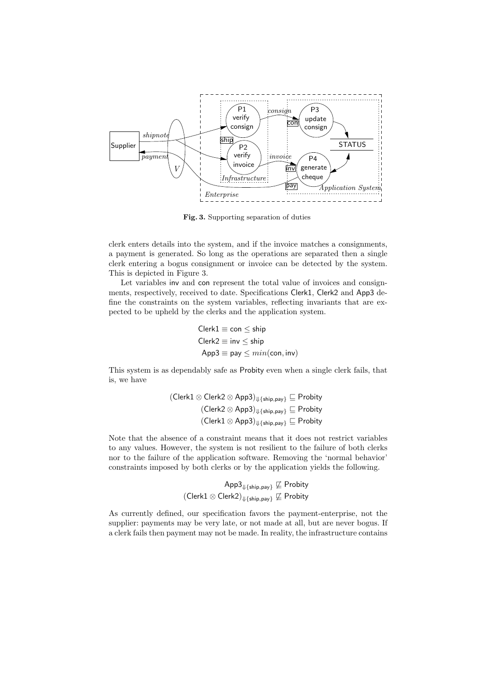

Fig. 3. Supporting separation of duties

clerk enters details into the system, and if the invoice matches a consignments, a payment is generated. So long as the operations are separated then a single clerk entering a bogus consignment or invoice can be detected by the system. This is depicted in Figure 3.

Let variables inv and con represent the total value of invoices and consignments, respectively, received to date. Specifications Clerk1, Clerk2 and App3 define the constraints on the system variables, reflecting invariants that are expected to be upheld by the clerks and the application system.

$$
Clerk1 \equiv con \le ship
$$
  
 
$$
Clerk2 \equiv inv \le ship
$$
  
 
$$
App3 \equiv pay \le min(con, inv)
$$

This system is as dependably safe as Probity even when a single clerk fails, that is, we have

$$
\begin{array}{r}\n(\mathsf{Clark1}\otimes \mathsf{Clerk2}\otimes \mathsf{App3})_{\Downarrow \{\mathsf{ship}, \mathsf{pay}\}}\sqsubseteq \mathsf{Probability} \\
(\mathsf{Clerk2}\otimes \mathsf{App3})_{\Downarrow \{\mathsf{ship}, \mathsf{pay}\}}\sqsubseteq \mathsf{Probability} \\
(\mathsf{Clerk1}\otimes \mathsf{App3})_{\Downarrow \{\mathsf{ship}, \mathsf{pay}\}}\sqsubseteq \mathsf{Probability}\n\end{array}
$$

Note that the absence of a constraint means that it does not restrict variables to any values. However, the system is not resilient to the failure of both clerks nor to the failure of the application software. Removing the 'normal behavior' constraints imposed by both clerks or by the application yields the following.

> $\mathsf{App3}_{\Downarrow \{\textsf{ship},\textsf{pay}\}} \not\sqsubseteq \mathsf{Probability}$  $(\mathsf{Clerk1}\otimes \mathsf{Clerk2})_{\Downarrow \{\mathsf{ship},\mathsf{pay}\}}\not\sqsubseteq \mathsf{Probability}$

As currently defined, our specification favors the payment-enterprise, not the supplier: payments may be very late, or not made at all, but are never bogus. If a clerk fails then payment may not be made. In reality, the infrastructure contains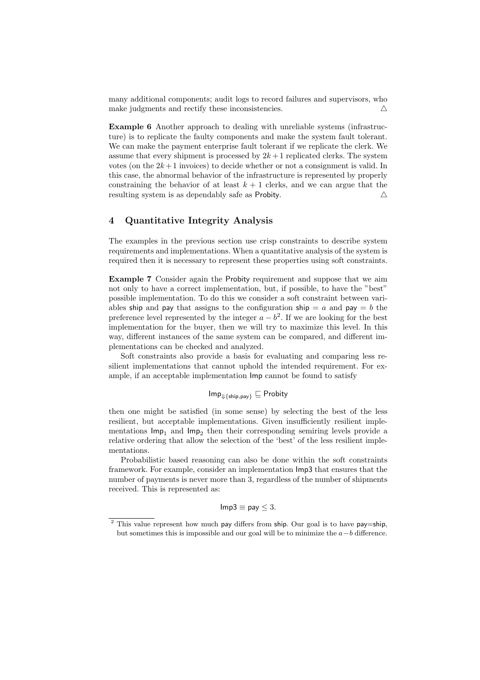many additional components; audit logs to record failures and supervisors, who make judgments and rectify these inconsistencies.  $\triangle$ 

Example 6 Another approach to dealing with unreliable systems (infrastructure) is to replicate the faulty components and make the system fault tolerant. We can make the payment enterprise fault tolerant if we replicate the clerk. We assume that every shipment is processed by  $2k+1$  replicated clerks. The system votes (on the  $2k+1$  invoices) to decide whether or not a consignment is valid. In this case, the abnormal behavior of the infrastructure is represented by properly constraining the behavior of at least  $k + 1$  clerks, and we can argue that the resulting system is as dependably safe as Probity.  $\triangle$ 

### 4 Quantitative Integrity Analysis

The examples in the previous section use crisp constraints to describe system requirements and implementations. When a quantitative analysis of the system is required then it is necessary to represent these properties using soft constraints.

Example 7 Consider again the Probity requirement and suppose that we aim not only to have a correct implementation, but, if possible, to have the "best" possible implementation. To do this we consider a soft constraint between variables ship and pay that assigns to the configuration ship  $=a$  and pay  $=b$  the preference level represented by the integer  $a - b^2$ . If we are looking for the best implementation for the buyer, then we will try to maximize this level. In this way, different instances of the same system can be compared, and different implementations can be checked and analyzed.

Soft constraints also provide a basis for evaluating and comparing less resilient implementations that cannot uphold the intended requirement. For example, if an acceptable implementation Imp cannot be found to satisfy

### $Imp_{\Downarrow {\{ \texttt{ship}, \texttt{pay} \}}} \sqsubseteq$  Probity

then one might be satisfied (in some sense) by selecting the best of the less resilient, but acceptable implementations. Given insufficiently resilient implementations  $\mathsf{Imp}_1$  and  $\mathsf{Imp}_2$  then their corresponding semiring levels provide a relative ordering that allow the selection of the 'best' of the less resilient implementations.

Probabilistic based reasoning can also be done within the soft constraints framework. For example, consider an implementation Imp3 that ensures that the number of payments is never more than 3, regardless of the number of shipments received. This is represented as:

### Imp3  $\equiv$  pay  $\leq$  3.

 $2$  This value represent how much pay differs from ship. Our goal is to have pay=ship, but sometimes this is impossible and our goal will be to minimize the  $a-b$  difference.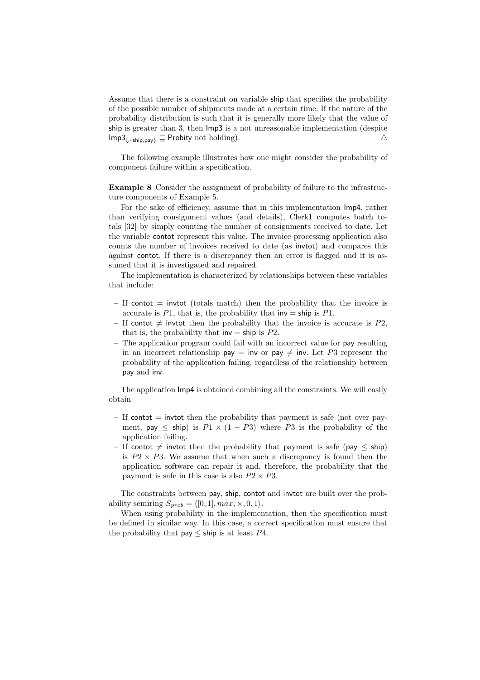Assume that there is a constraint on variable ship that specifies the probability of the possible number of shipments made at a certain time. If the nature of the probability distribution is such that it is generally more likely that the value of ship is greater than 3, then  $Imp3$  is a not unreasonable implementation (despite  $\textsf{Imp3}_{\Downarrow \{\textsf{ship},\textsf{pay}\}} \sqsubseteq \textsf{Probability not holding}.$   $\triangle$ 

The following example illustrates how one might consider the probability of component failure within a specification.

Example 8 Consider the assignment of probability of failure to the infrastructure components of Example 5.

For the sake of efficiency, assume that in this implementation Imp4, rather than verifying consignment values (and details), Clerk1 computes batch totals [32] by simply counting the number of consignments received to date. Let the variable contot represent this value. The invoice processing application also counts the number of invoices received to date (as invtot) and compares this against contot. If there is a discrepancy then an error is flagged and it is assumed that it is investigated and repaired.

The implementation is characterized by relationships between these variables that include:

- $-$  If contot  $=$  invtot (totals match) then the probability that the invoice is accurate is  $P1$ , that is, the probability that inv = ship is  $P1$ .
- If contot  $\neq$  invtot then the probability that the invoice is accurate is P2, that is, the probability that  $inv =$  ship is  $P2$ .
- The application program could fail with an incorrect value for pay resulting in an incorrect relationship pay = inv or pay  $\neq$  inv. Let P3 represent the probability of the application failing, regardless of the relationship between pay and inv.

The application Imp4 is obtained combining all the constraints. We will easily obtain

- $-$  If contot  $=$  invtot then the probability that payment is safe (not over payment, pay  $\le$  ship) is  $P1 \times (1 - P3)$  where P3 is the probability of the application failing.
- If contot  $\neq$  invtot then the probability that payment is safe (pay  $\leq$  ship) is  $P2 \times P3$ . We assume that when such a discrepancy is found then the application software can repair it and, therefore, the probability that the payment is safe in this case is also  $P2 \times P3$ .

The constraints between pay, ship, contot and invtot are built over the probability semiring  $S_{prob} = \langle [0, 1], max, \times, 0, 1 \rangle$ .

When using probability in the implementation, then the specification must be defined in similar way. In this case, a correct specification must ensure that the probability that  $pay \le \text{ship is at least } P4$ .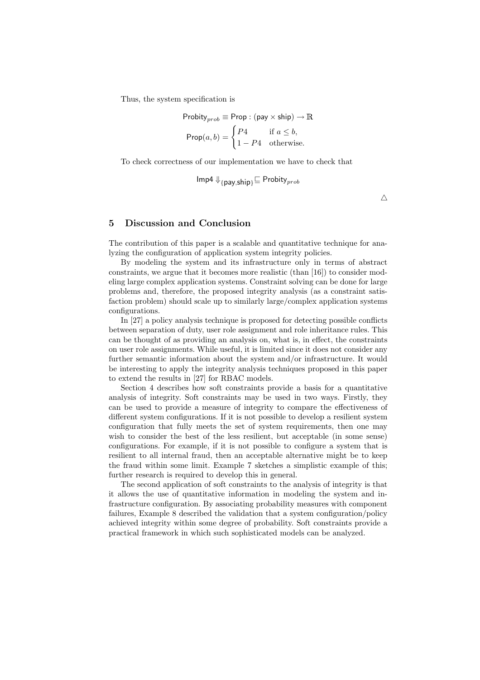Thus, the system specification is

$$
Probability_{prob} \equiv \text{Prop}: (\text{pay} \times \text{ship}) \to \mathbb{R}
$$

$$
\text{Prop}(a, b) = \begin{cases} P4 & \text{if } a \leq b, \\ 1 - P4 & \text{otherwise.} \end{cases}
$$

To check correctness of our implementation we have to check that

$$
\mathsf{Imp4}\Downarrow_{\{\mathsf{pay},\mathsf{ship}\}} \sqsubseteq \mathsf{Probability}_{prob}
$$

 $\triangle$ 

### 5 Discussion and Conclusion

The contribution of this paper is a scalable and quantitative technique for analyzing the configuration of application system integrity policies.

By modeling the system and its infrastructure only in terms of abstract constraints, we argue that it becomes more realistic (than [16]) to consider modeling large complex application systems. Constraint solving can be done for large problems and, therefore, the proposed integrity analysis (as a constraint satisfaction problem) should scale up to similarly large/complex application systems configurations.

In [27] a policy analysis technique is proposed for detecting possible conflicts between separation of duty, user role assignment and role inheritance rules. This can be thought of as providing an analysis on, what is, in effect, the constraints on user role assignments. While useful, it is limited since it does not consider any further semantic information about the system and/or infrastructure. It would be interesting to apply the integrity analysis techniques proposed in this paper to extend the results in [27] for RBAC models.

Section 4 describes how soft constraints provide a basis for a quantitative analysis of integrity. Soft constraints may be used in two ways. Firstly, they can be used to provide a measure of integrity to compare the effectiveness of different system configurations. If it is not possible to develop a resilient system configuration that fully meets the set of system requirements, then one may wish to consider the best of the less resilient, but acceptable (in some sense) configurations. For example, if it is not possible to configure a system that is resilient to all internal fraud, then an acceptable alternative might be to keep the fraud within some limit. Example 7 sketches a simplistic example of this; further research is required to develop this in general.

The second application of soft constraints to the analysis of integrity is that it allows the use of quantitative information in modeling the system and infrastructure configuration. By associating probability measures with component failures, Example 8 described the validation that a system configuration/policy achieved integrity within some degree of probability. Soft constraints provide a practical framework in which such sophisticated models can be analyzed.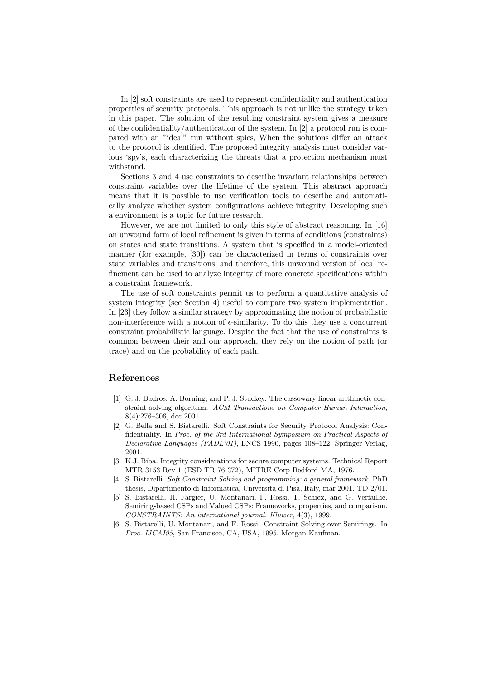In [2] soft constraints are used to represent confidentiality and authentication properties of security protocols. This approach is not unlike the strategy taken in this paper. The solution of the resulting constraint system gives a measure of the confidentiality/authentication of the system. In [2] a protocol run is compared with an "ideal" run without spies, When the solutions differ an attack to the protocol is identified. The proposed integrity analysis must consider various 'spy's, each characterizing the threats that a protection mechanism must withstand.

Sections 3 and 4 use constraints to describe invariant relationships between constraint variables over the lifetime of the system. This abstract approach means that it is possible to use verification tools to describe and automatically analyze whether system configurations achieve integrity. Developing such a environment is a topic for future research.

However, we are not limited to only this style of abstract reasoning. In [16] an unwound form of local refinement is given in terms of conditions (constraints) on states and state transitions. A system that is specified in a model-oriented manner (for example, [30]) can be characterized in terms of constraints over state variables and transitions, and therefore, this unwound version of local refinement can be used to analyze integrity of more concrete specifications within a constraint framework.

The use of soft constraints permit us to perform a quantitative analysis of system integrity (see Section 4) useful to compare two system implementation. In [23] they follow a similar strategy by approximating the notion of probabilistic non-interference with a notion of  $\epsilon$ -similarity. To do this they use a concurrent constraint probabilistic language. Despite the fact that the use of constraints is common between their and our approach, they rely on the notion of path (or trace) and on the probability of each path.

#### References

- [1] G. J. Badros, A. Borning, and P. J. Stuckey. The cassowary linear arithmetic constraint solving algorithm. ACM Transactions on Computer Human Interaction, 8(4):276–306, dec 2001.
- [2] G. Bella and S. Bistarelli. Soft Constraints for Security Protocol Analysis: Confidentiality. In Proc. of the 3rd International Symposium on Practical Aspects of Declarative Languages (PADL'01), LNCS 1990, pages 108–122. Springer-Verlag, 2001.
- [3] K.J. Biba. Integrity considerations for secure computer systems. Technical Report MTR-3153 Rev 1 (ESD-TR-76-372), MITRE Corp Bedford MA, 1976.
- [4] S. Bistarelli. Soft Constraint Solving and programming: a general framework. PhD thesis, Dipartimento di Informatica, Universit`a di Pisa, Italy, mar 2001. TD-2/01.
- [5] S. Bistarelli, H. Fargier, U. Montanari, F. Rossi, T. Schiex, and G. Verfaillie. Semiring-based CSPs and Valued CSPs: Frameworks, properties, and comparison. CONSTRAINTS: An international journal. Kluwer, 4(3), 1999.
- [6] S. Bistarelli, U. Montanari, and F. Rossi. Constraint Solving over Semirings. In Proc. IJCAI95, San Francisco, CA, USA, 1995. Morgan Kaufman.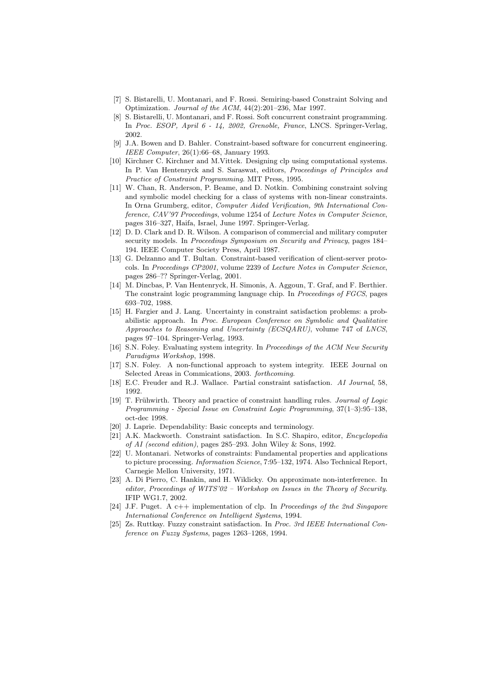- [7] S. Bistarelli, U. Montanari, and F. Rossi. Semiring-based Constraint Solving and Optimization. Journal of the ACM, 44(2):201–236, Mar 1997.
- [8] S. Bistarelli, U. Montanari, and F. Rossi. Soft concurrent constraint programming. In Proc. ESOP, April 6 - 14, 2002, Grenoble, France, LNCS. Springer-Verlag, 2002.
- [9] J.A. Bowen and D. Bahler. Constraint-based software for concurrent engineering. IEEE Computer, 26(1):66–68, January 1993.
- [10] Kirchner C. Kirchner and M.Vittek. Designing clp using computational systems. In P. Van Hentenryck and S. Saraswat, editors, Proceedings of Principles and Practice of Constraint Programming. MIT Press, 1995.
- [11] W. Chan, R. Anderson, P. Beame, and D. Notkin. Combining constraint solving and symbolic model checking for a class of systems with non-linear constraints. In Orna Grumberg, editor, Computer Aided Verification, 9th International Conference, CAV'97 Proceedings, volume 1254 of Lecture Notes in Computer Science, pages 316–327, Haifa, Israel, June 1997. Springer-Verlag.
- [12] D. D. Clark and D. R. Wilson. A comparison of commercial and military computer security models. In Proceedings Symposium on Security and Privacy, pages 184– 194. IEEE Computer Society Press, April 1987.
- [13] G. Delzanno and T. Bultan. Constraint-based verification of client-server protocols. In Proceedings CP2001, volume 2239 of Lecture Notes in Computer Science, pages 286–?? Springer-Verlag, 2001.
- [14] M. Dincbas, P. Van Hentenryck, H. Simonis, A. Aggoun, T. Graf, and F. Berthier. The constraint logic programming language chip. In Proceedings of FGCS, pages 693–702, 1988.
- [15] H. Fargier and J. Lang. Uncertainty in constraint satisfaction problems: a probabilistic approach. In Proc. European Conference on Symbolic and Qualitative Approaches to Reasoning and Uncertainty (ECSQARU), volume 747 of LNCS, pages 97–104. Springer-Verlag, 1993.
- [16] S.N. Foley. Evaluating system integrity. In Proceedings of the ACM New Security Paradigms Workshop, 1998.
- [17] S.N. Foley. A non-functional approach to system integrity. IEEE Journal on Selected Areas in Commications, 2003. forthcoming.
- [18] E.C. Freuder and R.J. Wallace. Partial constraint satisfaction. AI Journal, 58, 1992.
- [19] T. Frühwirth. Theory and practice of constraint handling rules. Journal of Logic Programming - Special Issue on Constraint Logic Programming, 37(1–3):95–138, oct-dec 1998.
- [20] J. Laprie. Dependability: Basic concepts and terminology.
- [21] A.K. Mackworth. Constraint satisfaction. In S.C. Shapiro, editor, Encyclopedia of AI (second edition), pages 285–293. John Wiley & Sons, 1992.
- [22] U. Montanari. Networks of constraints: Fundamental properties and applications to picture processing. Information Science, 7:95–132, 1974. Also Technical Report, Carnegie Mellon University, 1971.
- [23] A. Di Pierro, C. Hankin, and H. Wiklicky. On approximate non-interference. In editor, Proceedings of WITS'02 – Workshop on Issues in the Theory of Security. IFIP WG1.7, 2002.
- [24] J.F. Puget. A c++ implementation of clp. In Proceedings of the 2nd Singapore International Conference on Intelligent Systems, 1994.
- [25] Zs. Ruttkay. Fuzzy constraint satisfaction. In Proc. 3rd IEEE International Conference on Fuzzy Systems, pages 1263–1268, 1994.